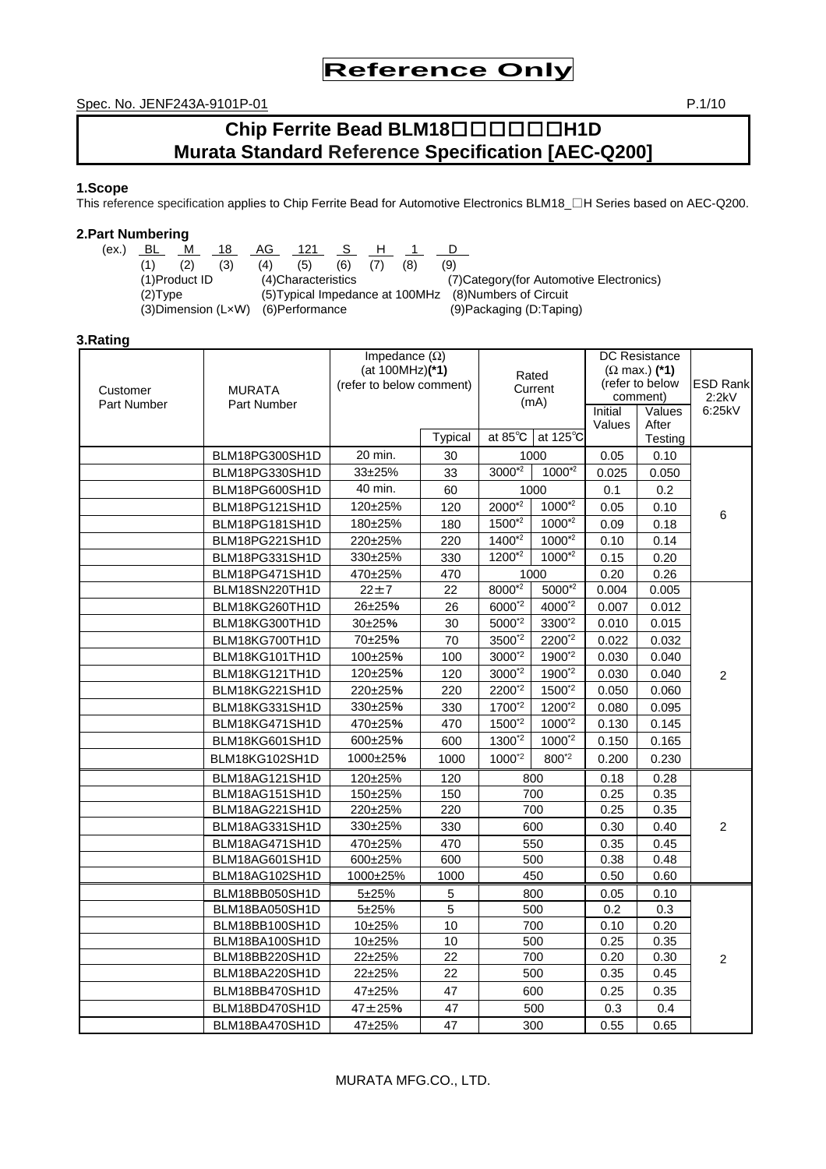Spec. No. JENF243A-9101P-01 **P.1/10** 

# **Chip Ferrite Bead BLM18**□□□□□□**H1D Murata Standard Reference Specification [AEC-Q200]**

# **1.Scope**

This reference specification applies to Chip Ferrite Bead for Automotive Electronics BLM18\_□H Series based on AEC-Q200.

# **2.Part Numbering**

 $(ex.)$  <u>BL M 18 AG 121 S H 1 D</u> (1) (2) (3) (4) (5) (6) (7) (8) (9) (2)Type (5)Typical Impedance at 100MHz (8)Numbers of Circuit (3)Dimension (L×W) (6)Performance (9)Packaging (D:Taping)

(4)Characteristics (7)Category(for Automotive Electronics)

# **3.Rating**

| Customer<br><b>Part Number</b> | <b>MURATA</b><br>Part Number | Impedance $(\Omega)$<br>(at 100MHz)(*1)<br>(refer to below comment) |                | Rated<br>Current<br>(mA) |                    | <b>DC</b> Resistance<br>$(\Omega$ max.) (*1)<br>(refer to below<br>comment)<br>Initial<br>Values<br>After<br>Values |         | <b>ESD Rank</b><br>2:2kV<br>6:25kV |
|--------------------------------|------------------------------|---------------------------------------------------------------------|----------------|--------------------------|--------------------|---------------------------------------------------------------------------------------------------------------------|---------|------------------------------------|
|                                |                              |                                                                     | <b>Typical</b> | at 85°C                  | at $125^{\circ}$ C |                                                                                                                     | Testing |                                    |
|                                | BLM18PG300SH1D               | 20 min.                                                             | 30             |                          | 1000               | 0.05                                                                                                                | 0.10    |                                    |
|                                | BLM18PG330SH1D               | 33±25%                                                              | 33             | $3000*2$                 | $1000^{*2}$        | 0.025                                                                                                               | 0.050   |                                    |
|                                | BLM18PG600SH1D               | 40 min.                                                             | 60             |                          | 1000               | 0.1                                                                                                                 | 0.2     |                                    |
|                                | BLM18PG121SH1D               | 120±25%                                                             | 120            | 2000*2                   | $1000^{*2}$        | 0.05                                                                                                                | 0.10    | 6                                  |
|                                | BLM18PG181SH1D               | 180±25%                                                             | 180            | $1500^{*2}$              | $1000^{*2}$        | 0.09                                                                                                                | 0.18    |                                    |
|                                | BLM18PG221SH1D               | 220±25%                                                             | 220            | $1400^{2}$               | $1000^{*2}$        | 0.10                                                                                                                | 0.14    |                                    |
|                                | BLM18PG331SH1D               | 330±25%                                                             | 330            | $1200^{*2}$              | $1000^{*2}$        | 0.15                                                                                                                | 0.20    |                                    |
|                                | BLM18PG471SH1D               | 470±25%                                                             | 470            |                          | 1000               | 0.20                                                                                                                | 0.26    |                                    |
|                                | BLM18SN220TH1D               | $22 + 7$                                                            | 22             | 8000*2                   | $5000*2$           | 0.004                                                                                                               | 0.005   |                                    |
|                                | BLM18KG260TH1D               | 26±25%                                                              | 26             | $6000^{2}$               | 4000*2             | 0.007                                                                                                               | 0.012   |                                    |
|                                | BLM18KG300TH1D               | 30±25%                                                              | 30             | 5000*2                   | 3300*2             | 0.010                                                                                                               | 0.015   |                                    |
|                                | BLM18KG700TH1D               | 70±25%                                                              | 70             | 3500*2                   | 2200*2             | 0.022                                                                                                               | 0.032   |                                    |
|                                | BLM18KG101TH1D               | 100±25%                                                             | 100            | 3000*2                   | 1900*2             | 0.030                                                                                                               | 0.040   |                                    |
|                                | BLM18KG121TH1D               | 120±25%                                                             | 120            | 3000*2                   | 1900*2             | 0.030                                                                                                               | 0.040   | $\overline{2}$                     |
|                                | BLM18KG221SH1D               | 220±25%                                                             | 220            | 2200*2                   | 1500*2             | 0.050                                                                                                               | 0.060   |                                    |
|                                | BLM18KG331SH1D               | 330±25%                                                             | 330            | 1700*2                   | 1200*2             | 0.080                                                                                                               | 0.095   |                                    |
|                                | BLM18KG471SH1D               | 470±25%                                                             | 470            | 1500*2                   | 1000*2             | 0.130                                                                                                               | 0.145   |                                    |
|                                | BLM18KG601SH1D               | 600±25%                                                             | 600            | 1300*2                   | 1000*2             | 0.150                                                                                                               | 0.165   |                                    |
|                                | BLM18KG102SH1D               | 1000±25%                                                            | 1000           | $1000^{2}$               | 800 <sup>*2</sup>  | 0.200                                                                                                               | 0.230   |                                    |
|                                | BLM18AG121SH1D               | 120±25%                                                             | 120            |                          | 800                | 0.18                                                                                                                | 0.28    |                                    |
|                                | BLM18AG151SH1D               | 150±25%                                                             | 150            |                          | 700                | 0.25                                                                                                                | 0.35    |                                    |
|                                | BLM18AG221SH1D               | 220±25%                                                             | 220            |                          | 700                | 0.25                                                                                                                | 0.35    |                                    |
|                                | BLM18AG331SH1D               | 330±25%                                                             | 330            |                          | 600                | 0.30                                                                                                                | 0.40    | $\overline{2}$                     |
|                                | BLM18AG471SH1D               | 470±25%                                                             | 470            |                          | 550                | 0.35                                                                                                                | 0.45    |                                    |
|                                | BLM18AG601SH1D               | 600±25%                                                             | 600            |                          | 500                | 0.38                                                                                                                | 0.48    |                                    |
|                                | BLM18AG102SH1D               | 1000±25%                                                            | 1000           |                          | 450                | 0.50                                                                                                                | 0.60    |                                    |
|                                | BLM18BB050SH1D               | 5±25%                                                               | 5              |                          | 800                | 0.05                                                                                                                | 0.10    |                                    |
|                                | BLM18BA050SH1D               | 5±25%                                                               | 5              |                          | 500                | 0.2                                                                                                                 | 0.3     |                                    |
|                                | BLM18BB100SH1D               | 10±25%                                                              | 10             |                          | 700                | 0.10                                                                                                                | 0.20    |                                    |
|                                | BLM18BA100SH1D               | 10±25%                                                              | 10             |                          | 500                | 0.25                                                                                                                | 0.35    |                                    |
|                                | BLM18BB220SH1D               | 22±25%                                                              | 22             |                          | 700                | 0.20                                                                                                                | 0.30    | $\overline{2}$                     |
|                                | BLM18BA220SH1D               | 22±25%                                                              | 22             |                          | 500                | 0.35                                                                                                                | 0.45    |                                    |
|                                | BLM18BB470SH1D               | 47±25%                                                              | 47             |                          | 600                | 0.25                                                                                                                | 0.35    |                                    |
|                                | BLM18BD470SH1D               | 47±25%                                                              | 47             |                          | 500                | 0.3                                                                                                                 | 0.4     |                                    |
|                                | BLM18BA470SH1D               | 47±25%                                                              | 47             |                          | 300                | 0.55                                                                                                                | 0.65    |                                    |

# MURATA MFG.CO., LTD.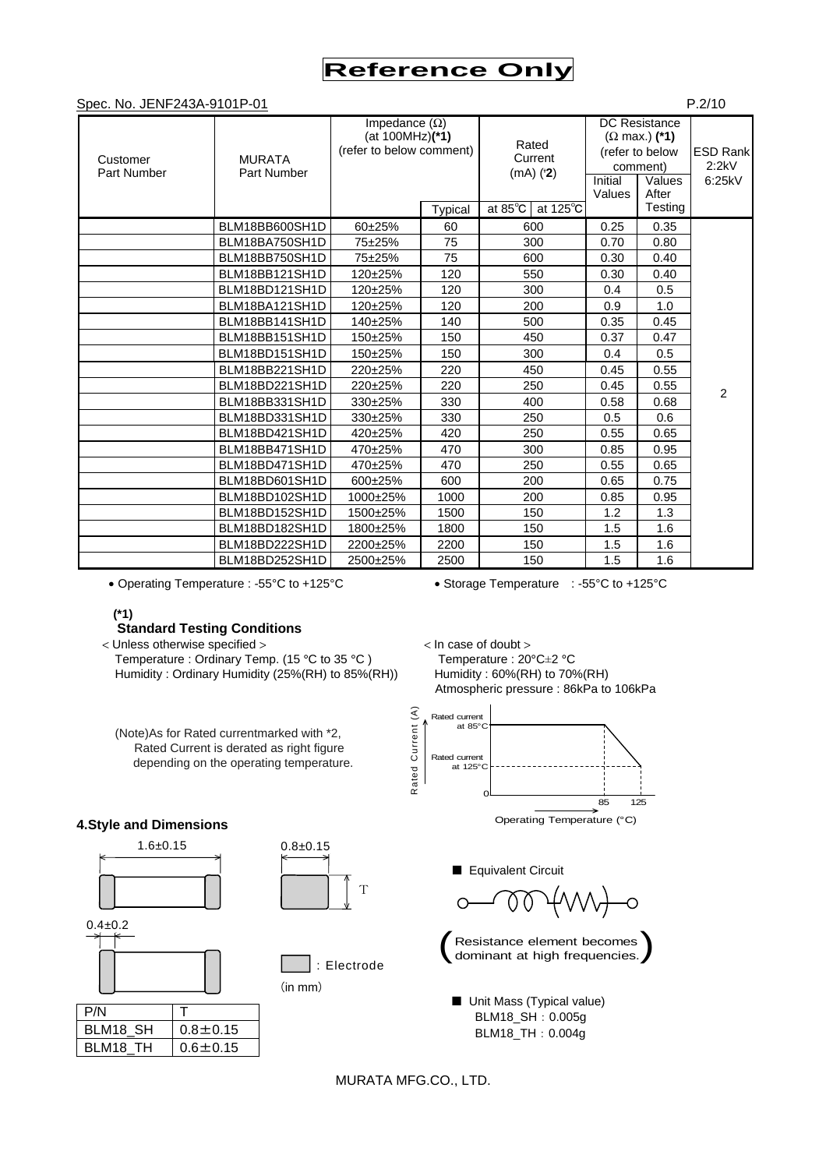Spec. No. IENE243A-9101P-01 P.2/10

|                         |                              |                                                                     |                |                                                           |                   |                                                                                                           | . 0                                |
|-------------------------|------------------------------|---------------------------------------------------------------------|----------------|-----------------------------------------------------------|-------------------|-----------------------------------------------------------------------------------------------------------|------------------------------------|
| Customer<br>Part Number | <b>MURATA</b><br>Part Number | Impedance $(\Omega)$<br>(at 100MHz)(*1)<br>(refer to below comment) | <b>Typical</b> | Rated<br>Current<br>$(mA)$ ( $2$ )<br>at 125°C<br>at 85°C | Initial<br>Values | <b>DC</b> Resistance<br>$(\Omega$ max.) (*1)<br>(refer to below<br>comment)<br>Values<br>After<br>Testing | <b>ESD Rank</b><br>2:2kV<br>6:25kV |
|                         | BLM18BB600SH1D               | 60±25%                                                              | 60             | 600                                                       | 0.25              | 0.35                                                                                                      |                                    |
|                         | BLM18BA750SH1D               | 75±25%                                                              | 75             | 300                                                       | 0.70              | 0.80                                                                                                      |                                    |
|                         | BLM18BB750SH1D               | 75±25%                                                              | 75             | 600                                                       | 0.30              | 0.40                                                                                                      |                                    |
|                         | BLM18BB121SH1D               | 120±25%                                                             | 120            | 550                                                       | 0.30              | 0.40                                                                                                      |                                    |
|                         | BLM18BD121SH1D               | 120±25%                                                             | 120            | 300                                                       | 0.4               | 0.5                                                                                                       |                                    |
|                         | BLM18BA121SH1D               | 120±25%                                                             | 120            | 200                                                       | 0.9               | 1.0                                                                                                       |                                    |
|                         | BLM18BB141SH1D               | 140±25%                                                             | 140            | 500                                                       | 0.35              | 0.45                                                                                                      |                                    |
|                         | BLM18BB151SH1D               | 150±25%                                                             | 150            | 450                                                       | 0.37              | 0.47                                                                                                      |                                    |
|                         | BLM18BD151SH1D               | 150±25%                                                             | 150            | 300                                                       | 0.4               | 0.5                                                                                                       |                                    |
|                         | BLM18BB221SH1D               | 220±25%                                                             | 220            | 450                                                       | 0.45              | 0.55                                                                                                      |                                    |
|                         | BLM18BD221SH1D               | 220±25%                                                             | 220            | 250                                                       | 0.45              | 0.55                                                                                                      | $\overline{2}$                     |
|                         | BLM18BB331SH1D               | 330±25%                                                             | 330            | 400                                                       | 0.58              | 0.68                                                                                                      |                                    |
|                         | BLM18BD331SH1D               | 330±25%                                                             | 330            | 250                                                       | 0.5               | 0.6                                                                                                       |                                    |
|                         | BLM18BD421SH1D               | 420±25%                                                             | 420            | 250                                                       | 0.55              | 0.65                                                                                                      |                                    |
|                         | BLM18BB471SH1D               | 470±25%                                                             | 470            | 300                                                       | 0.85              | 0.95                                                                                                      |                                    |
|                         | BLM18BD471SH1D               | 470±25%                                                             | 470            | 250                                                       | 0.55              | 0.65                                                                                                      |                                    |
|                         | BLM18BD601SH1D               | 600±25%                                                             | 600            | 200                                                       | 0.65              | 0.75                                                                                                      |                                    |
|                         | BLM18BD102SH1D               | 1000±25%                                                            | 1000           | 200                                                       | 0.85              | 0.95                                                                                                      |                                    |
|                         | BLM18BD152SH1D               | 1500±25%                                                            | 1500           | 150                                                       | 1.2               | 1.3                                                                                                       |                                    |
|                         | BLM18BD182SH1D               | 1800±25%                                                            | 1800           | 150                                                       | 1.5               | 1.6                                                                                                       |                                    |
|                         | BLM18BD222SH1D               | 2200±25%                                                            | 2200           | 150                                                       | 1.5               | 1.6                                                                                                       |                                    |
|                         | BLM18BD252SH1D               | 2500±25%                                                            | 2500           | 150                                                       | 1.5               | 1.6                                                                                                       |                                    |

• Operating Temperature : -55°C to +125°C • Storage Temperature : -55°C to +125°C

(Note)As for Rated currentmarked with \*2, Rated Current is derated as right figure depending on the operating temperature.

#### **(\*1)**

# **Standard Testing Conditions**

< Unless otherwise specified > < In case of doubt >

Temperature : Ordinary Temp. (15 °C to 35 °C) Temperature : 20°C $\pm$ 2 °C Humidity : Ordinary Humidity (25%(RH) to 85%(RH)) Humidity : 60%(RH) to 70%(RH)

Atmospheric pressure : 86kPa to 106kPa







■ Unit Mass (Typical value) BLM18\_SH:0.005g BLM18\_TH:0.004g

MURATA MFG.CO., LTD.

: Electrode

(in mm)

T





| P/N      |                |
|----------|----------------|
| BLM18 SH | $0.8 + 0.15$   |
| BLM18 TH | $0.6 \pm 0.15$ |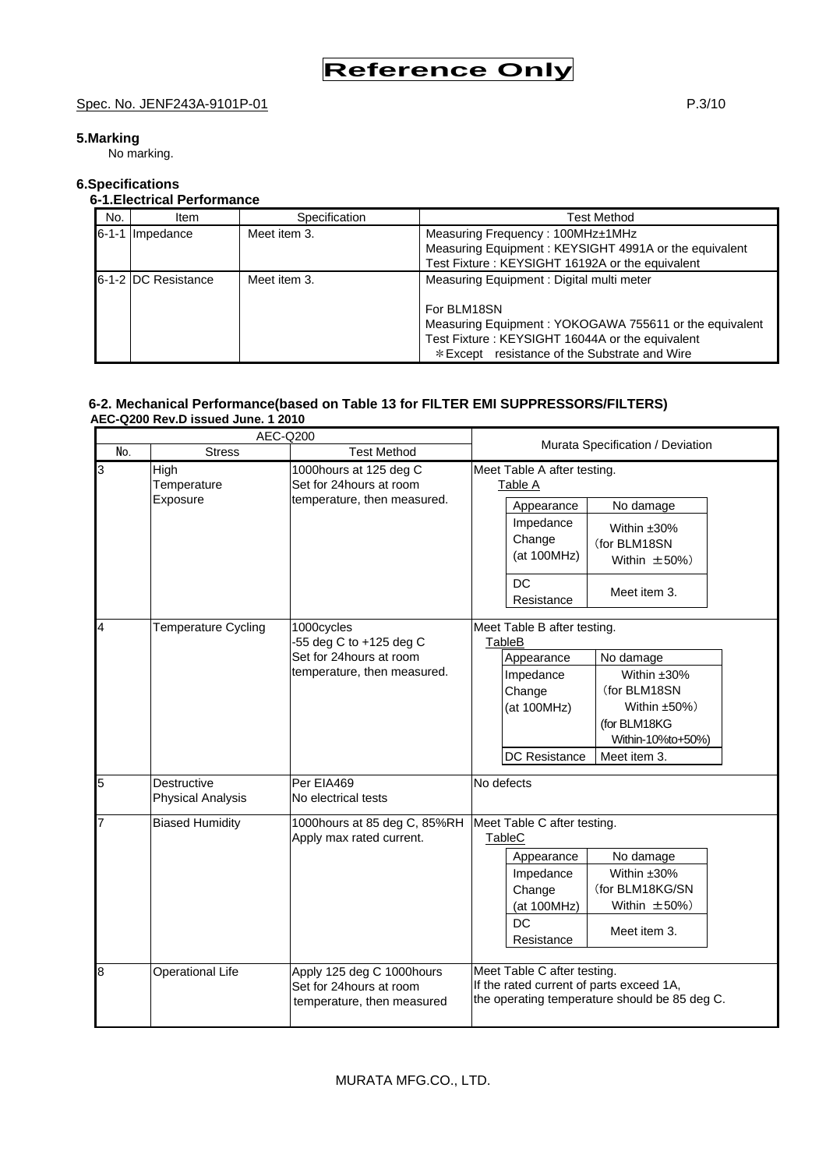# Spec. No. JENF243A-9101P-01 P.3/10

# **5.Marking**

No marking.

# **6.Specifications**

# **6-1.Electrical Performance**

| No. | Item                | Specification | Test Method                                                                                                                                                                                                           |
|-----|---------------------|---------------|-----------------------------------------------------------------------------------------------------------------------------------------------------------------------------------------------------------------------|
|     | 6-1-1 Impedance     | Meet item 3.  | Measuring Frequency: 100MHz±1MHz<br>Measuring Equipment: KEYSIGHT 4991A or the equivalent<br>Test Fixture: KEYSIGHT 16192A or the equivalent                                                                          |
|     | 6-1-2 DC Resistance | Meet item 3.  | Measuring Equipment: Digital multi meter<br>For BLM18SN<br>Measuring Equipment: YOKOGAWA 755611 or the equivalent<br>Test Fixture: KEYSIGHT 16044A or the equivalent<br>* Except resistance of the Substrate and Wire |

## **6-2. Mechanical Performance(based on Table 13 for FILTER EMI SUPPRESSORS/FILTERS) AEC-Q200 Rev.D issued June. 1 2010**

|                | AEC-Q200                                |                                                                                    |                                                                                                                                                                                                        |
|----------------|-----------------------------------------|------------------------------------------------------------------------------------|--------------------------------------------------------------------------------------------------------------------------------------------------------------------------------------------------------|
| No.            | <b>Stress</b>                           | <b>Test Method</b>                                                                 | Murata Specification / Deviation                                                                                                                                                                       |
| $\overline{3}$ | High<br>Temperature<br>Exposure         | 1000hours at 125 deg C<br>Set for 24hours at room<br>temperature, then measured.   | Meet Table A after testing.<br>Table A<br>Appearance<br>No damage<br>Impedance<br>Within $±30\%$<br>Change<br>(for BLM18SN<br>(at 100MHz)<br>Within $\pm 50\%$ )<br><b>DC</b>                          |
| 4              | Temperature Cycling                     | 1000cycles<br>-55 deg C to +125 deg C                                              | Meet item 3.<br>Resistance<br>Meet Table B after testing.<br>TableB                                                                                                                                    |
|                |                                         | Set for 24hours at room<br>temperature, then measured.                             | Appearance<br>No damage<br>Within ±30%<br>Impedance<br>(for BLM18SN<br>Change<br>Within $\pm 50\%$ )<br>(at 100MHz)<br>(for BLM18KG<br>Within-10%to+50%)<br>DC Resistance<br>Meet item 3.              |
| 5              | Destructive<br><b>Physical Analysis</b> | Per EIA469<br>No electrical tests                                                  | No defects                                                                                                                                                                                             |
| 7              | <b>Biased Humidity</b>                  | 1000hours at 85 deg C, 85%RH<br>Apply max rated current.                           | Meet Table C after testing.<br>TableC<br>No damage<br>Appearance<br>Within $±30\%$<br>Impedance<br>(for BLM18KG/SN<br>Change<br>Within $\pm 50\%$ )<br>(at 100MHz)<br>DC<br>Meet item 3.<br>Resistance |
| 8              | <b>Operational Life</b>                 | Apply 125 deg C 1000hours<br>Set for 24hours at room<br>temperature, then measured | Meet Table C after testing.<br>If the rated current of parts exceed 1A,<br>the operating temperature should be 85 deg C.                                                                               |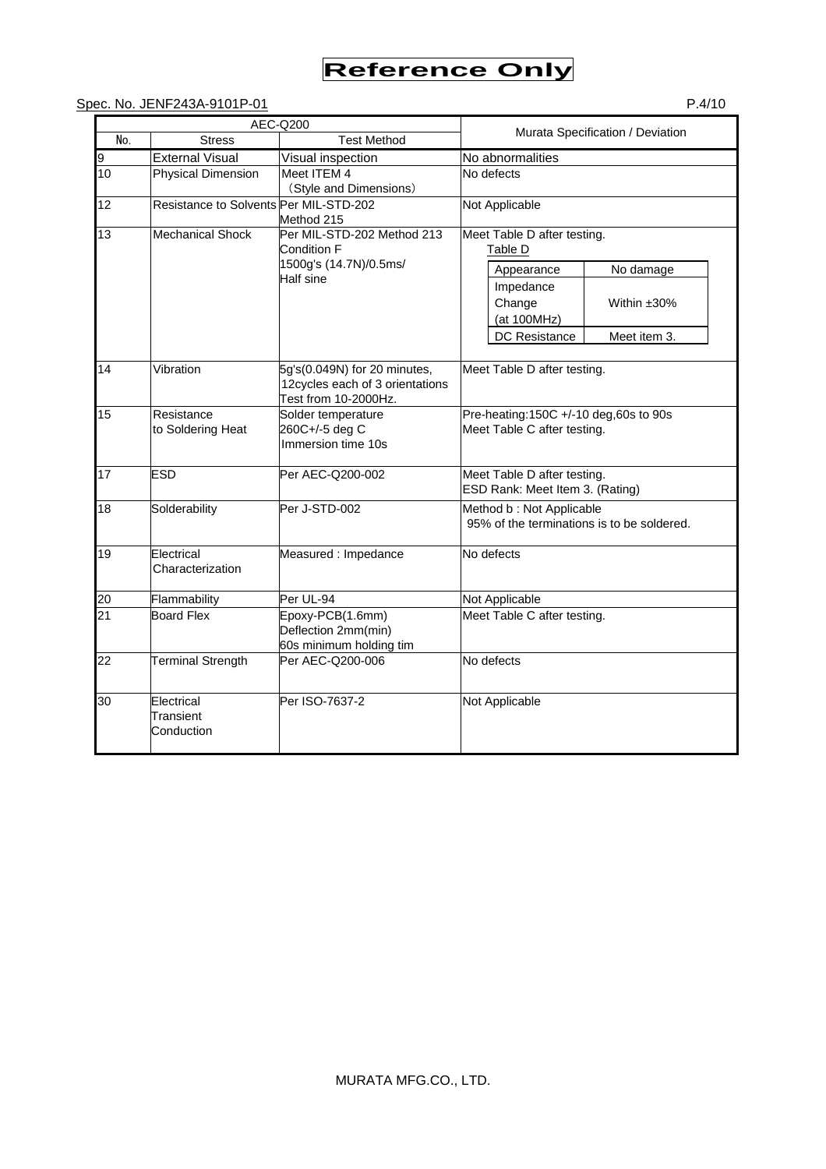# Spec. No. JENF243A-9101P-01 P.4/10

|     |                                        | AEC-Q200                                                                                |                                                                        |
|-----|----------------------------------------|-----------------------------------------------------------------------------------------|------------------------------------------------------------------------|
| No. | <b>Stress</b>                          | <b>Test Method</b>                                                                      | Murata Specification / Deviation                                       |
| 9   | <b>External Visual</b>                 | Visual inspection                                                                       | No abnormalities                                                       |
| 10  | <b>Physical Dimension</b>              | Meet ITEM 4<br>(Style and Dimensions)                                                   | No defects                                                             |
| 12  | Resistance to Solvents Per MIL-STD-202 | Method 215                                                                              | Not Applicable                                                         |
| 13  | <b>Mechanical Shock</b>                | Per MIL-STD-202 Method 213<br><b>Condition F</b><br>1500g's (14.7N)/0.5ms/              | Meet Table D after testing.<br>Table D                                 |
|     |                                        | Half sine                                                                               | No damage<br>Appearance                                                |
|     |                                        |                                                                                         | Impedance<br>Change<br>Within $±30\%$<br>(at 100MHz)                   |
|     |                                        |                                                                                         | Meet item 3.<br>DC Resistance                                          |
| 14  | Vibration                              | 5g's(0.049N) for 20 minutes,<br>12cycles each of 3 orientations<br>Test from 10-2000Hz. | Meet Table D after testing.                                            |
| 15  | Resistance<br>to Soldering Heat        | Solder temperature<br>260C+/-5 deg C<br>Immersion time 10s                              | Pre-heating: 150C +/-10 deg, 60s to 90s<br>Meet Table C after testing. |
| 17  | <b>ESD</b>                             | Per AEC-Q200-002                                                                        | Meet Table D after testing.<br>ESD Rank: Meet Item 3. (Rating)         |
| 18  | Solderability                          | Per J-STD-002                                                                           | Method b: Not Applicable<br>95% of the terminations is to be soldered. |
| 19  | Electrical<br>Characterization         | Measured : Impedance                                                                    | No defects                                                             |
| 20  | Flammability                           | Per UL-94                                                                               | Not Applicable                                                         |
| 21  | <b>Board Flex</b>                      | Epoxy-PCB(1.6mm)<br>Deflection 2mm(min)<br>60s minimum holding tim                      | Meet Table C after testing.                                            |
| 22  | <b>Terminal Strength</b>               | Per AEC-Q200-006                                                                        | No defects                                                             |
| 30  | Electrical<br>Transient<br>Conduction  | Per ISO-7637-2                                                                          | Not Applicable                                                         |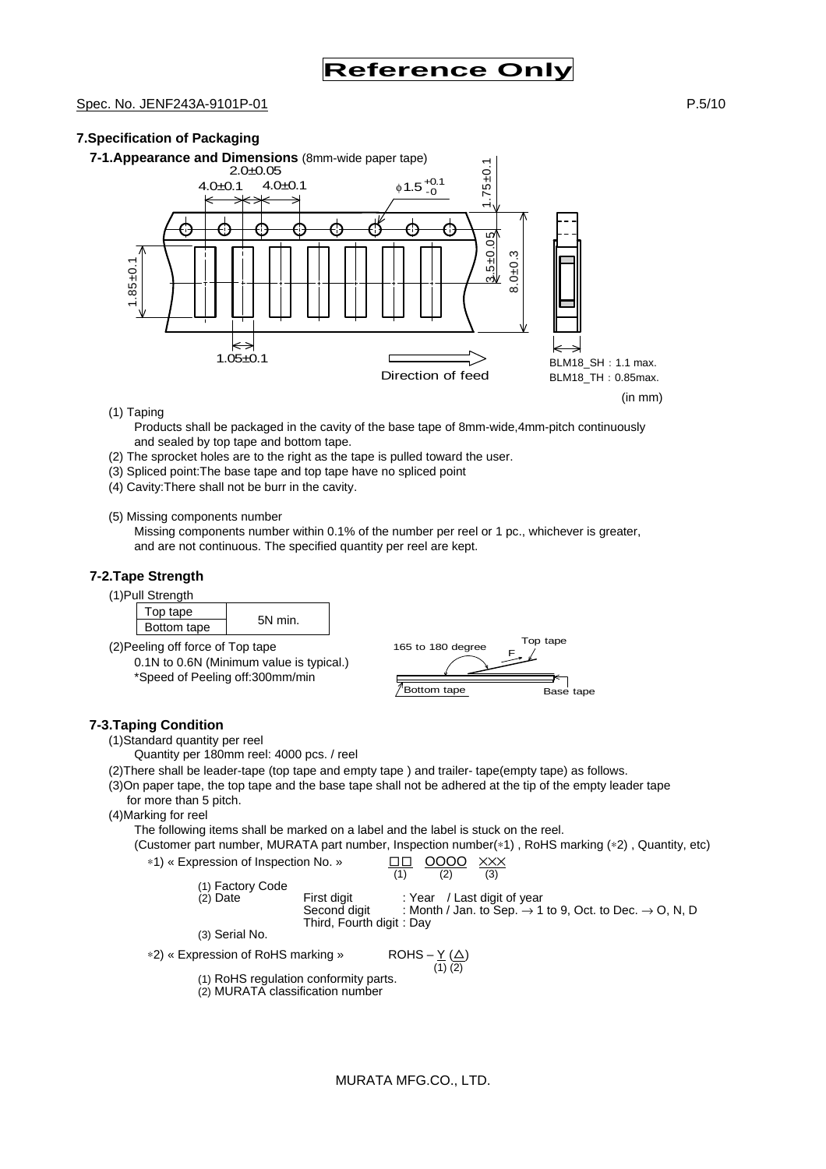## Spec. No. JENF243A-9101P-01 **P.5/10** P.5/10

# **7.Specification of Packaging**



(1) Taping

Products shall be packaged in the cavity of the base tape of 8mm-wide,4mm-pitch continuously and sealed by top tape and bottom tape.

- (2) The sprocket holes are to the right as the tape is pulled toward the user.
- (3) Spliced point:The base tape and top tape have no spliced point
- (4) Cavity:There shall not be burr in the cavity.

(5) Missing components number

Missing components number within 0.1% of the number per reel or 1 pc., whichever is greater, and are not continuous. The specified quantity per reel are kept.

### **7-2.Tape Strength**

(1)Pull Strength

| un ouvingui |        |
|-------------|--------|
| op tape     |        |
| Bottom tape | 5N min |

(2)Peeling off force of Top tape 0.1N to 0.6N (Minimum value is typical.) \*Speed of Peeling off:300mm/min



### **7-3.Taping Condition**

(1)Standard quantity per reel

Quantity per 180mm reel: 4000 pcs. / reel

(2)There shall be leader-tape (top tape and empty tape ) and trailer- tape(empty tape) as follows.

(3)On paper tape, the top tape and the base tape shall not be adhered at the tip of the empty leader tape for more than 5 pitch.

(4)Marking for reel

The following items shall be marked on a label and the label is stuck on the reel.

(Customer part number, MURATA part number, Inspection number(∗1) , RoHS marking (∗2) , Quantity, etc)

| *1) « Expression of Inspection No. » |                                                         | 0000                        | XXX<br>(3) |                                                                                 |  |
|--------------------------------------|---------------------------------------------------------|-----------------------------|------------|---------------------------------------------------------------------------------|--|
| (1) Factory Code<br>$(2)$ Date       | First digit<br>Second digit<br>Third, Fourth digit: Day | : Year / Last digit of year |            | : Month / Jan. to Sep. $\rightarrow$ 1 to 9, Oct. to Dec. $\rightarrow$ O, N, D |  |
| (3) Serial No.                       |                                                         |                             |            |                                                                                 |  |

∗2) « Expression of RoHS marking »

ROHS  $-\underline{Y}(\underline{\triangle})$ <br>(1) (2)

(1) RoHS regulation conformity parts.

(2) MURATA classification number

MURATA MFG.CO., LTD.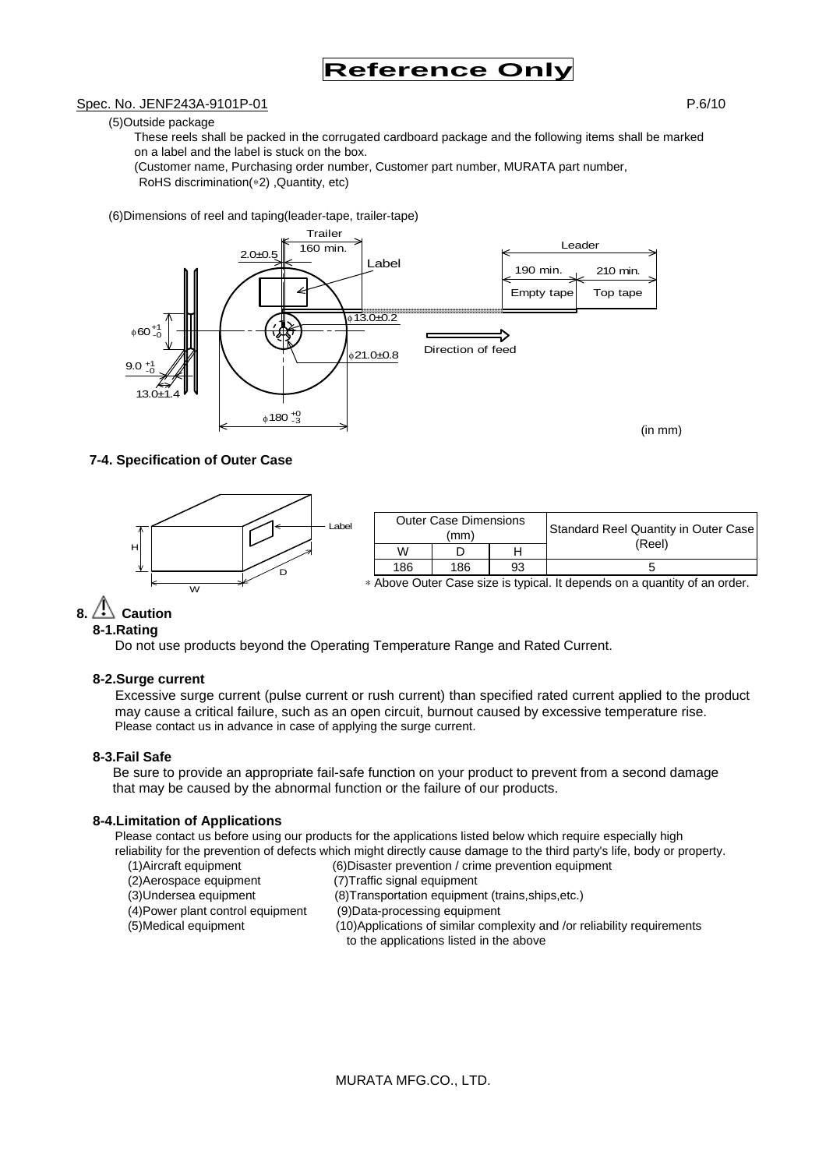### Spec. No. JENF243A-9101P-01 P.6/10

(5)Outside package

These reels shall be packed in the corrugated cardboard package and the following items shall be marked on a label and the label is stuck on the box.

(Customer name, Purchasing order number, Customer part number, MURATA part number, RoHS discrimination(∗2) ,Quantity, etc)

(6)Dimensions of reel and taping(leader-tape, trailer-tape)



### **7-4. Specification of Outer Case**



# $8. \triangle$  Caution

## **8-1.Rating**

Do not use products beyond the Operating Temperature Range and Rated Current.

### **8-2.Surge current**

Excessive surge current (pulse current or rush current) than specified rated current applied to the product may cause a critical failure, such as an open circuit, burnout caused by excessive temperature rise. Please contact us in advance in case of applying the surge current.

### **8-3.Fail Safe**

Be sure to provide an appropriate fail-safe function on your product to prevent from a second damage that may be caused by the abnormal function or the failure of our products.

### **8-4.Limitation of Applications**

Please contact us before using our products for the applications listed below which require especially high reliability for the prevention of defects which might directly cause damage to the third party's life, body or property.

- (1)Aircraft equipment (6)Disaster prevention / crime prevention equipment
- (2)Aerospace equipment (7)Traffic signal equipment
- (3)Undersea equipment (8)Transportation equipment (trains,ships,etc.)
- (4)Power plant control equipment (9)Data-processing equipment
- 
- (5)Medical equipment (10)Applications of similar complexity and /or reliability requirements to the applications listed in the above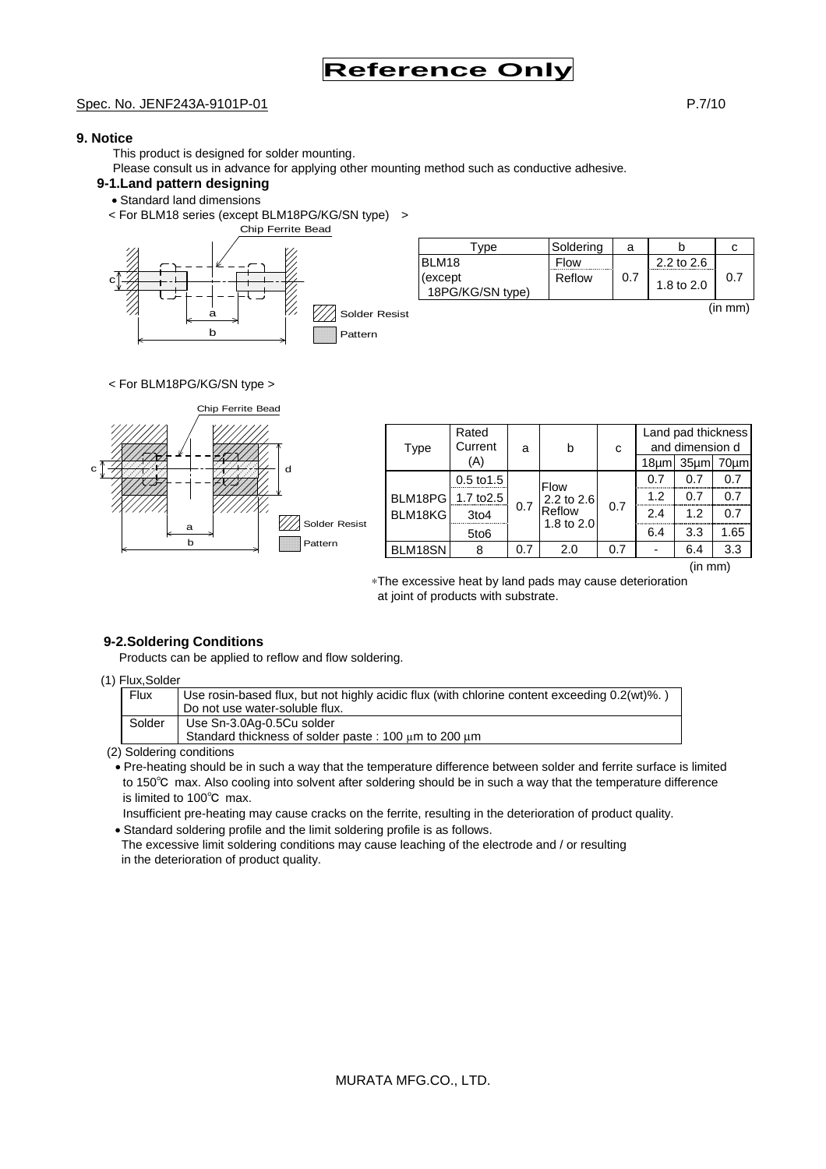## Spec. No. JENF243A-9101P-01 **P.7/10**

# **9. Notice**

This product is designed for solder mounting.

Please consult us in advance for applying other mounting method such as conductive adhesive.

# **9-1.Land pattern designing**

- Standard land dimensions
- < For BLM18 series (except BLM18PG/KG/SN type) >



| vpe                         | Soldering | а   |            |         |
|-----------------------------|-----------|-----|------------|---------|
| BLM18                       | Flow      |     | 2.2 to 2.6 |         |
| (except<br>18PG/KG/SN type) | Reflow    | 0.7 | 1.8 to 2.0 | 0.7     |
|                             |           |     |            | (in mm) |

### < For BLM18PG/KG/SN type >



∗The excessive heat by land pads may cause deterioration at joint of products with substrate.

# **9-2.Soldering Conditions**

Products can be applied to reflow and flow soldering.

#### (1) Flux,Solder

| <b>Flux</b> | Use rosin-based flux, but not highly acidic flux (with chlorine content exceeding 0.2(wt)%.) |
|-------------|----------------------------------------------------------------------------------------------|
|             | Do not use water-soluble flux.                                                               |
| Solder      | Use Sn-3.0Ag-0.5Cu solder                                                                    |
|             | Standard thickness of solder paste: 100 µm to 200 µm                                         |

(2) Soldering conditions

• Pre-heating should be in such a way that the temperature difference between solder and ferrite surface is limited to 150℃ max. Also cooling into solvent after soldering should be in such a way that the temperature difference is limited to 100℃ max.

Insufficient pre-heating may cause cracks on the ferrite, resulting in the deterioration of product quality.

• Standard soldering profile and the limit soldering profile is as follows. The excessive limit soldering conditions may cause leaching of the electrode and / or resulting

in the deterioration of product quality.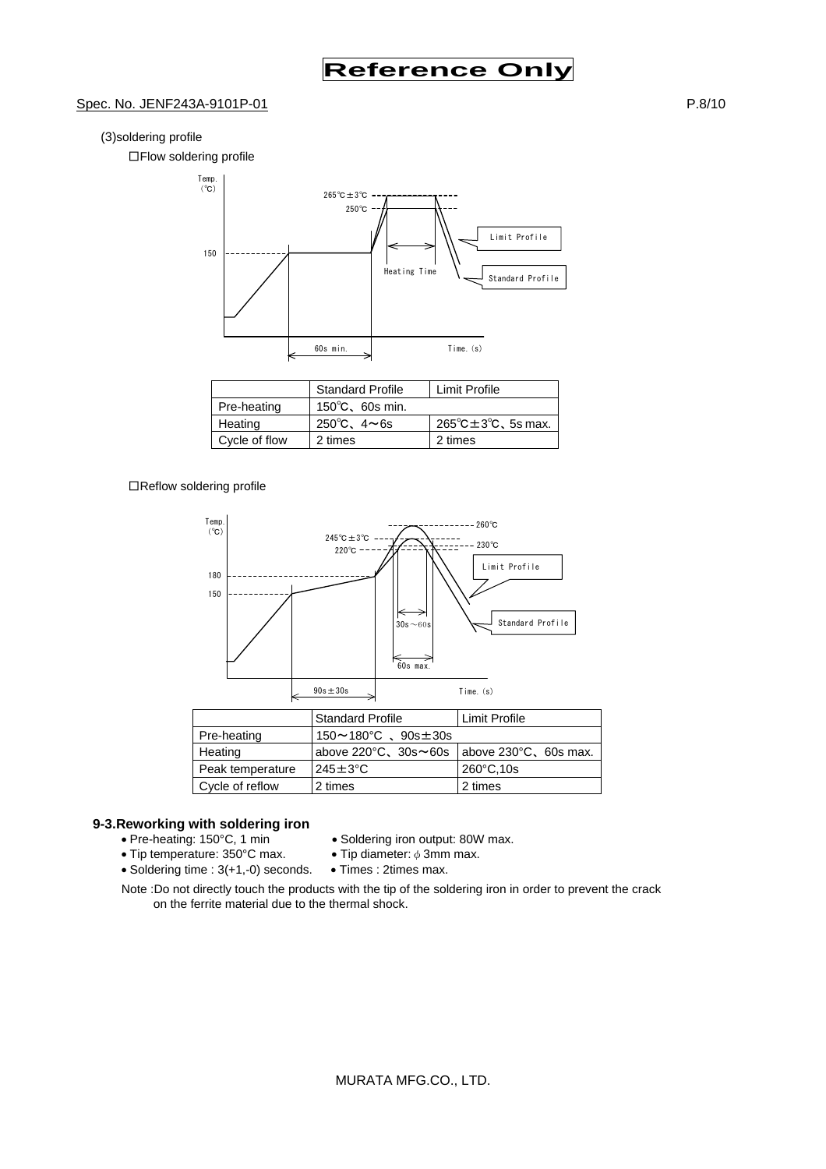### Spec. No. JENF243A-9101P-01 **P.8/10**

#### (3)soldering profile

□Flow soldering profile



|               | <b>Standard Profile</b>   | Limit Profile                              |
|---------------|---------------------------|--------------------------------------------|
| Pre-heating   | $150^{\circ}$ C, 60s min. |                                            |
| Heating       | 250°C, $4 \sim 6s$        | $265^{\circ}$ C $\pm 3^{\circ}$ C, 5s max. |
| Cycle of flow | 2 times                   | 2 times                                    |

#### □Reflow soldering profile



# **9-3. Reworking with soldering iron**<br>• Pre-heating: 150°C, 1 min

- 
- Tip temperature: 350°C max.
- Soldering iron output: 80W max.<br>• Tip diameter:  $\phi$  3mm max.
- 
- Soldering time : 3(+1,-0) seconds. Times : 2times max.
- Note :Do not directly touch the products with the tip of the soldering iron in order to prevent the crack on the ferrite material due to the thermal shock.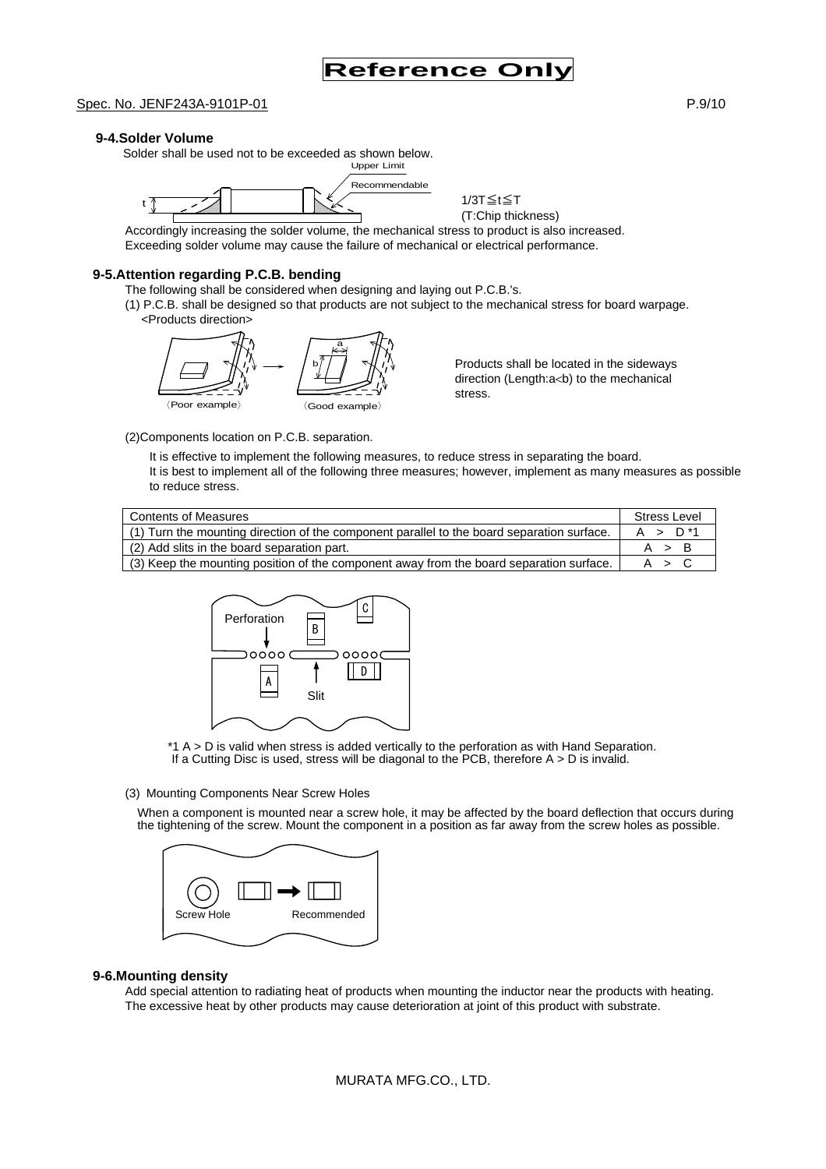#### **9-4.Solder Volume**

 Solder shall be used not to be exceeded as shown below. Upper Limit



1/3T≦t≦T (T:Chip thickness)

Accordingly increasing the solder volume, the mechanical stress to product is also increased. Exceeding solder volume may cause the failure of mechanical or electrical performance.

#### **9-5.Attention regarding P.C.B. bending**

The following shall be considered when designing and laying out P.C.B.'s.

(1) P.C.B. shall be designed so that products are not subject to the mechanical stress for board warpage. <Products direction>



Products shall be located in the sideways direction (Length:a<br/>b) to the mechanical stress.

(2)Components location on P.C.B. separation.

It is effective to implement the following measures, to reduce stress in separating the board. It is best to implement all of the following three measures; however, implement as many measures as possible to reduce stress.

| (1) Turn the mounting direction of the component parallel to the board separation surface. | A > D <sup>*1</sup> |
|--------------------------------------------------------------------------------------------|---------------------|
| (2) Add slits in the board separation part.                                                | A > B               |
| (3) Keep the mounting position of the component away from the board separation surface.    | A > C               |



\*1 A > D is valid when stress is added vertically to the perforation as with Hand Separation. If a Cutting Disc is used, stress will be diagonal to the PCB, therefore  $A > D$  is invalid.

#### (3) Mounting Components Near Screw Holes

When a component is mounted near a screw hole, it may be affected by the board deflection that occurs during the tightening of the screw. Mount the component in a position as far away from the screw holes as possible.



#### **9-6.Mounting density**

Add special attention to radiating heat of products when mounting the inductor near the products with heating. The excessive heat by other products may cause deterioration at joint of this product with substrate.